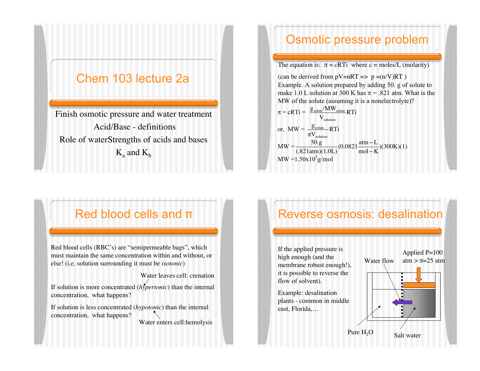#### Chem 103 lecture 2a

Finish osmotic pressure and water treatment Acid/Base - definitions Role of waterStrengths of acids and bases  $K_a$  and  $K_b$ 

#### Osmotic pressure problem

The equation is:  $\pi = cRTi$  where c = moles/L (molarity)

(can be derived from  $pV=nRT \implies p = (n/V)RT$ ) Example. A solution prepared by adding 50. g of solute to make 1.0 L solution at 300 K has  $\pi$  = .821 atm. What is the MW of the solute (assuming it is a nonelectrolyte)?

$$
\pi = cRTi = \frac{g_{\text{solute}}/MW_{\text{solute}}}{V_{\text{solution}}} RTi
$$
\nor, MW =  $\frac{g_{\text{solute}}}{\pi V_{\text{solution}}} RTi$   
\nMW =  $\frac{50 \text{ g}}{(.821 \text{ atm})(1.0 \text{ L})} (0.0821 \frac{\text{atm} - \text{L}}{\text{mol} - \text{K}})(300 \text{K})(1)$   
\nMW = 1.50x10<sup>3</sup>g/mol

#### Red blood cells and  $\pi$

Red blood cells (RBC's) are "semipermeable bags", which must maintain the same concentration within and without, or else! (i.e. solution surrounding it must be *isotonic*)

If solution is more concentrated (*hypertonic*) than the internal concentration, what happens?

Water leaves cell: crenation

If solution is less concentrated (*hypotonic*) than the internal concentration, what happens? Water enters cell:hemolysis

### Reverse osmosis: desalination

If the applied pressure is high enough (and the membrane robust enough!), it is possible to reverse the flow of solvent).

Example: desalination plants - common in middle east, Florida,…

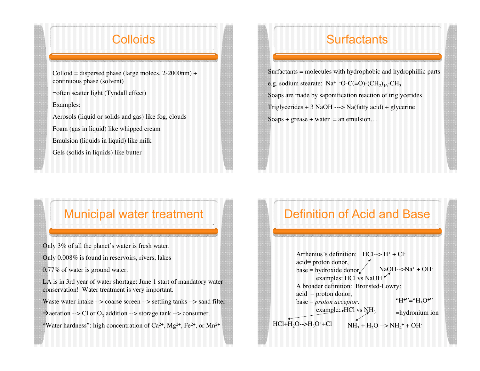#### **Colloids**

 $Colloid = dispersed$  phase (large molecs, 2-2000nm) + continuous phase (solvent)

=often scatter light (Tyndall effect)

Examples:

Aerosols (liquid or solids and gas) like fog, clouds

Foam (gas in liquid) like whipped cream

Emulsion (liquids in liquid) like milk

Gels (solids in liquids) like butter

### **Surfactants**

Surfactants = molecules with hydrophobic and hydrophillic parts e.g. sodium stearate:  $\text{Na}^+$  -O-C(=O)-(CH<sub>2</sub>)<sub>16</sub>-CH<sub>3</sub> Soaps are made by saponification reaction of triglycerides Triglycerides  $+ 3$  NaOH ---> Na(fatty acid) + glycerine Soaps + grease + water = an emulsion...

#### Municipal water treatment

Only 3% of all the planet's water is fresh water.

Only 0.008% is found in reservoirs, rivers, lakes

0.77% of water is ground water.

LA is in 3rd year of water shortage: June 1 start of mandatory water conservation! Water treatment is very important.

- Waste water intake --> coarse screen --> settling tanks --> sand filter
- $\rightarrow$  aeration --> Cl or O<sub>3</sub> addition --> storage tank --> consumer.
- "Water hardness": high concentration of  $Ca^{2+}$ ,  $Mg^{2+}$ ,  $Fe^{2+}$ , or  $Mn^{2+}$

### Definition of Acid and Base

Arrhenius's definition: HCl--> H+ + Clacid= proton donor, base = hydroxide donor $\angle$ examples: HCl vs NaOH A broader definition: Bronsted-Lowry: acid = proton donor, base = *proton acceptor*. example:  $HCl$  vs  $NH<sub>3</sub>$  $NH_3 + H_2O \rightarrow NH_4^+ + OH^ NaOH-->Na^+ + OH^ HCl+H_2O\rightarrow H_3O^+ +Cl^-$ "H+"=" $H_3O^{+}$ " =hydronium ion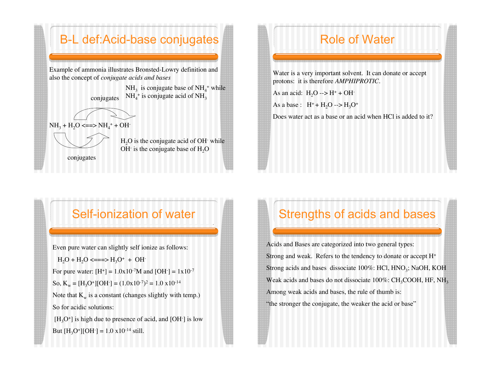#### B-L def:Acid-base conjugates

Example of ammonia illustrates Bronsted-Lowry definition and also the concept of *conjugate acids and bases*

> conjugates  $NH_4$ <sup>+</sup> is conjugate acid of NH<sub>3</sub>  $NH<sub>3</sub>$  is conjugate base of  $NH<sub>4</sub><sup>+</sup>$  while

$$
\bigotimes_{\mathbf{U}} \bigotimes_{\mathbf{U}} \mathbf{U} \mathbf{U}
$$

 $NH_3 + H_2O \leq = >> NH_4^+ + OH^-$ 



 $H<sub>2</sub>O$  is the conjugate acid of OH $\cdot$  while OH $\cdot$  is the conjugate base of  $\text{H}_{2}\text{O}$ 

conjugates

### Role of Water

Water is a very important solvent. It can donate or accept protons: it is therefore *AMPHIPROTIC.*

As an acid:  $H_2O \rightarrow H^+ + OH^-$ 

As a base :  $H^+ + H_2O \rightarrow H_3O^+$ 

Does water act as a base or an acid when HCl is added to it?

#### Self-ionization of water

Even pure water can slightly self ionize as follows:

 $H_2O + H_2O \le = \Longrightarrow H_3O^+ + OH^-$ 

For pure water:  $[H^+] = 1.0x10^{-7}M$  and  $[OH^-] = 1x10^{-7}$ 

So,  $K_w = [H_3O^+][OH^-] = (1.0 \times 10^{-7})^2 = 1.0 \times 10^{-14}$ 

Note that  $K_w$  is a constant (changes slightly with temp.) So for acidic solutions:

 $[H_3O^+]$  is high due to presence of acid, and [OH $\cdot$ ] is low But  $[H_3O^+][OH^-] = 1.0 \times 10^{-14} \text{ still.}$ 

## Strengths of acids and bases

Acids and Bases are categorized into two general types: Strong and weak. Refers to the tendency to donate or accept H+ Strong acids and bases dissociate  $100\%$ : HCl, HNO<sub>3</sub>; NaOH, KOH Weak acids and bases do not dissociate  $100\%$ : CH<sub>3</sub>COOH, HF, NH<sub>3</sub> Among weak acids and bases, the rule of thumb is: "the stronger the conjugate, the weaker the acid or base"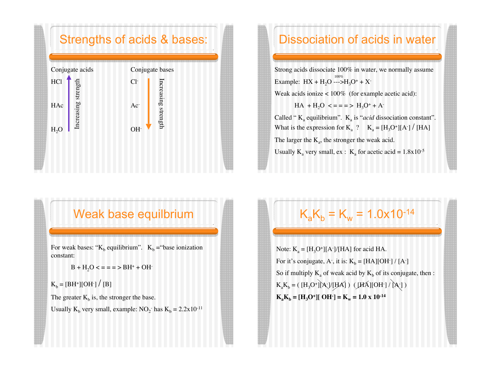#### Strengths of acids & bases:



### Dissociation of acids in water

Strong acids dissociate 100% in water, we normally assume Example:  $HX + H_2O \longrightarrow H_3O^+ + X^-$ 

Weak acids ionize  $< 100\%$  (for example acetic acid):

 $HA + H<sub>2</sub>O \leq z = z \geq H<sub>3</sub>O<sup>+</sup> + A<sup>-</sup>$ 

Called " K<sub>a</sub> equilibrium". K<sub>a</sub> is "*acid* dissociation constant". What is the expression for  $K_a$  ?  $K_a = [H_3O^+] [A^-] / [HA]$ The larger the  $K_a$ , the stronger the weak acid. Usually  $K_a$  very small, ex :  $K_a$  for acetic acid = 1.8x10<sup>-5</sup>

#### Weak base equilbrium

For weak bases: " $K_b$  equilibrium".  $K_b$  = "base ionization" constant:

 $B + H<sub>2</sub>O <$  = = = > BH<sup>+</sup> + OH<sup>-</sup>

 $K_b = [BH^+][OH^-] / [B]$ 

The greater  $K_b$  is, the stronger the base.

Usually  $K_b$  very small, example:  $NO_2^-$  has  $K_b = 2.2 \times 10^{-11}$ 

# $K_aK_b = K_w = 1.0x10^{-14}$

Note:  $K_a = [H_3O^+] [A^-]/[HA]$  for acid HA. For it's conjugate, A<sup>-</sup>, it is:  $K_b = [HA][OH^-] / [A^-]$ So if multiply  $K_a$  of weak acid by  $K_b$  of its conjugate, then :  $K_aK_b = (H_3O^+)[A^-]/[HA]$  ) ( $[HA][OH^-]/[A^-]$ )  $K_a K_b = [H_3 O^+][OH^-] = K_w = 1.0 \times 10^{-14}$